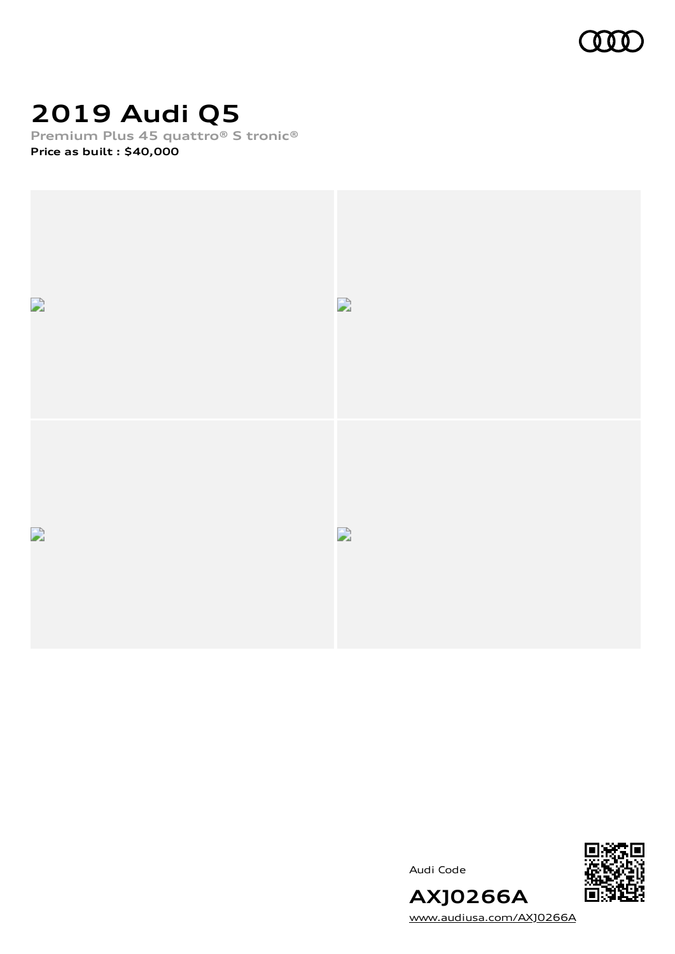

## **2019 Audi Q5**

**Premium Plus 45 quattro® S tronic® Price as built [:](#page-10-0) \$40,000**



Audi Code



**AXJ0266A** [www.audiusa.com/AXJ0266A](https://www.audiusa.com/AXJ0266A)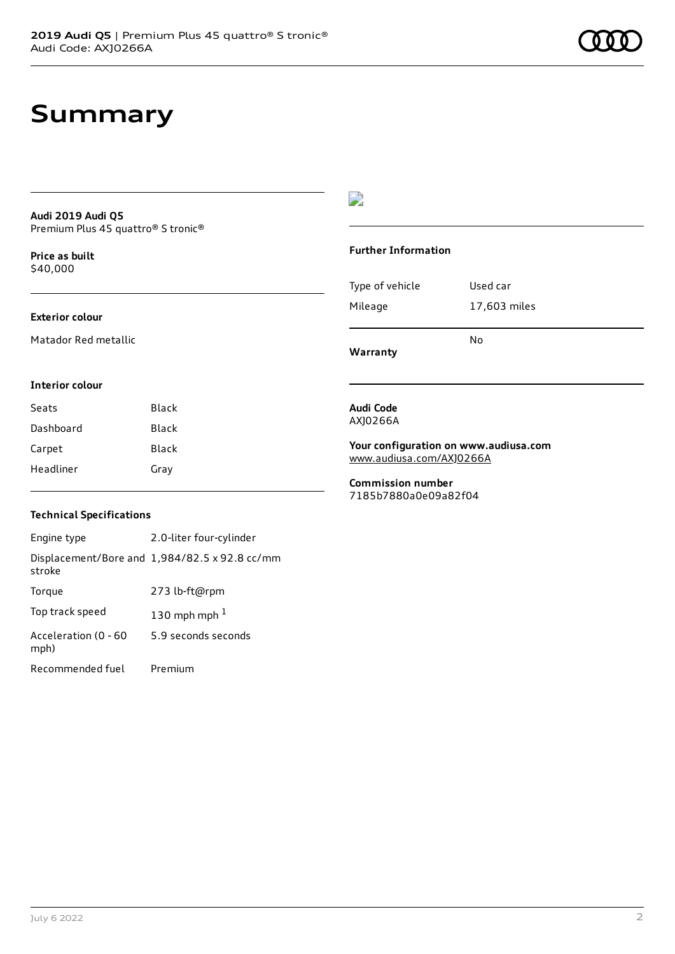### **Summary**

#### **Audi 2019 Audi Q5** Premium Plus 45 quattro® S tronic®

**Price as buil[t](#page-10-0)** \$40,000

### **Exterior colour**

Matador Red metallic

### $\overline{\phantom{a}}$

#### **Further Information**

|                 | N٥           |
|-----------------|--------------|
| Mileage         | 17,603 miles |
| Type of vehicle | Used car     |

**Warranty**

**Audi Code** AXJ0266A

#### **Interior colour**

| Seats     | Black |
|-----------|-------|
| Dashboard | Black |
| Carpet    | Black |
| Headliner | Gray  |

### **Your configuration on www.audiusa.com**

[www.audiusa.com/AXJ0266A](https://www.audiusa.com/AXJ0266A)

**Commission number** 7185b7880a0e09a82f04

### **Technical Specifications**

| Engine type                  | 2.0-liter four-cylinder                       |
|------------------------------|-----------------------------------------------|
| stroke                       | Displacement/Bore and 1,984/82.5 x 92.8 cc/mm |
| Torque                       | 273 lb-ft@rpm                                 |
| Top track speed              | 130 mph mph $1$                               |
| Acceleration (0 - 60<br>mph) | 5.9 seconds seconds                           |
| Recommended fuel             | Premium                                       |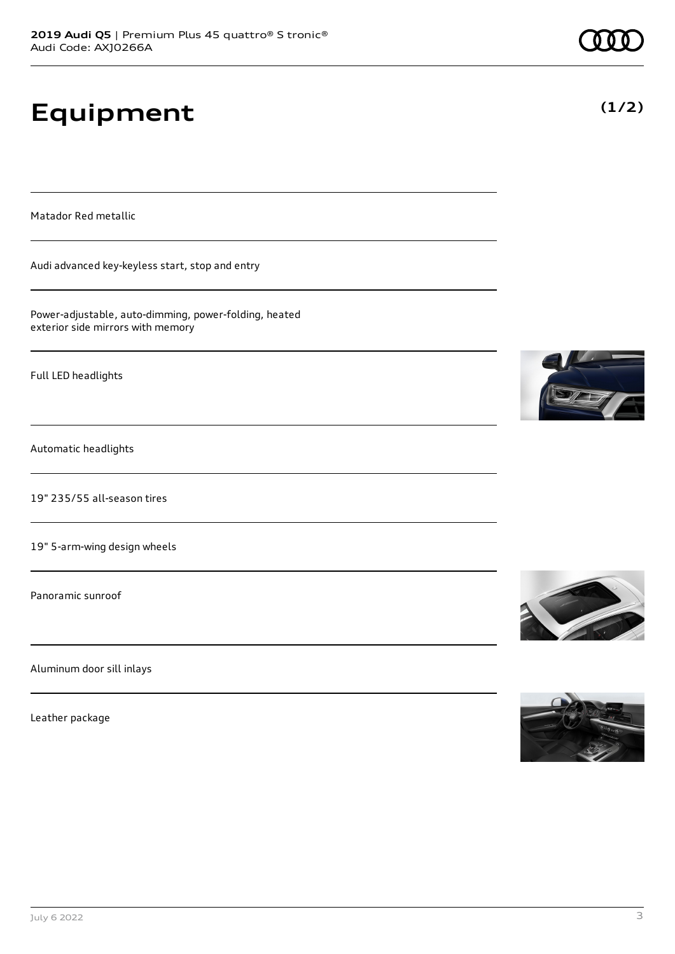# **Equipment**

Matador Red metallic

Audi advanced key-keyless start, stop and entry

Power-adjustable, auto-dimming, power-folding, heated exterior side mirrors with memory

Full LED headlights

Automatic headlights

19" 235/55 all-season tires

19" 5-arm-wing design wheels

Panoramic sunroof

Aluminum door sill inlays

Leather package









**(1/2)**

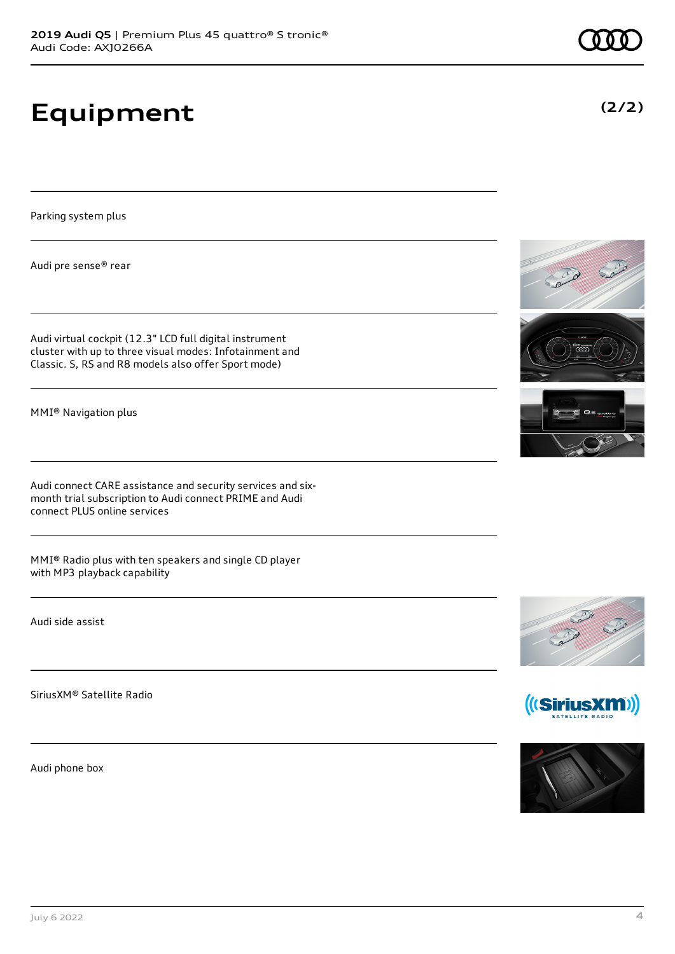# **Equipment**

Parking system plus

Audi pre sense® rear

Audi virtual cockpit (12.3" LCD full digital instrument cluster with up to three visual modes: Infotainment and Classic. S, RS and R8 models also offer Sport mode)

MMI® Navigation plus

Audi connect CARE assistance and security services and sixmonth trial subscription to Audi connect PRIME and Audi connect PLUS online services

MMI® Radio plus with ten speakers and single CD player with MP3 playback capability

Audi side assist

SiriusXM® Satellite Radio

Audi phone box









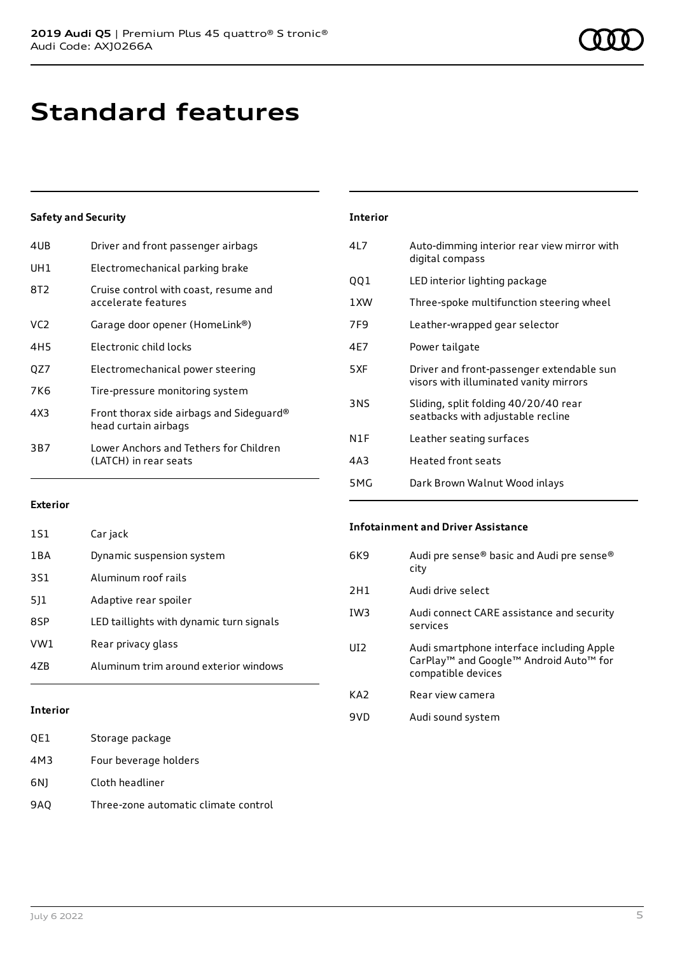## **Standard features**

### **Safety and Security**

| 4UB | Driver and front passenger airbags                               |
|-----|------------------------------------------------------------------|
| UH1 | Electromechanical parking brake                                  |
| 8T2 | Cruise control with coast, resume and<br>accelerate features     |
| VC2 | Garage door opener (HomeLink®)                                   |
| 4H5 | Flectronic child locks                                           |
| QZ7 | Electromechanical power steering                                 |
| 7K6 | Tire-pressure monitoring system                                  |
| 4X3 | Front thorax side airbags and Sideguard®<br>head curtain airbags |
| 3B7 | Lower Anchors and Tethers for Children<br>(LATCH) in rear seats  |
|     |                                                                  |

| <b>Interior</b> |                                                                                     |
|-----------------|-------------------------------------------------------------------------------------|
| 417             | Auto-dimming interior rear view mirror with<br>digital compass                      |
| 001             | LED interior lighting package                                                       |
| 1 XW            | Three-spoke multifunction steering wheel                                            |
| 7F9             | Leather-wrapped gear selector                                                       |
| 4F7             | Power tailgate                                                                      |
| 5XF             | Driver and front-passenger extendable sun<br>visors with illuminated vanity mirrors |
| 3NS             | Sliding, split folding 40/20/40 rear<br>seatbacks with adjustable recline           |
| N1F             | Leather seating surfaces                                                            |
| 4A3             | <b>Heated front seats</b>                                                           |
| 5MG             | Dark Brown Walnut Wood inlays                                                       |

### **Exterior**

| 1S1   | Car jack                                 |
|-------|------------------------------------------|
| 1 B A | Dynamic suspension system                |
| 3S1   | Aluminum roof rails                      |
| 511   | Adaptive rear spoiler                    |
| 8SP   | LED taillights with dynamic turn signals |
| VW1   | Rear privacy glass                       |
| 47R   | Aluminum trim around exterior windows    |
|       |                                          |

### **Interior**

| OE1 | Storage package       |
|-----|-----------------------|
| 4M3 | Four beverage holders |
| 6N1 | Cloth headliner       |

### 9AQ Three-zone automatic climate control

#### **Infotainment and Driver Assistance**

| 6K9             | Audi pre sense® basic and Audi pre sense®<br>city                                                                                             |
|-----------------|-----------------------------------------------------------------------------------------------------------------------------------------------|
| 2H1             | Audi drive select                                                                                                                             |
| IW <sub>3</sub> | Audi connect CARE assistance and security<br>services                                                                                         |
| UD <sub>2</sub> | Audi smartphone interface including Apple<br>CarPlay <sup>™</sup> and Google <sup>™</sup> Android Auto <sup>™</sup> for<br>compatible devices |
| KA <sub>2</sub> | Rear view camera                                                                                                                              |
| 9VD             | Audi sound system                                                                                                                             |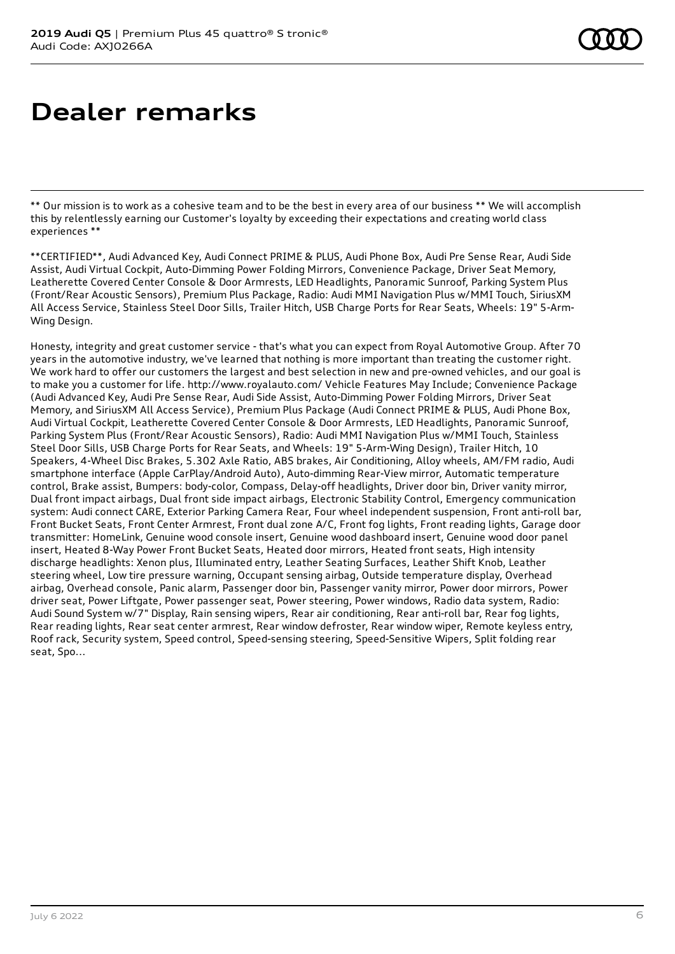### **Dealer remarks**

\*\* Our mission is to work as a cohesive team and to be the best in every area of our business \*\* We will accomplish this by relentlessly earning our Customer's loyalty by exceeding their expectations and creating world class experiences \*\*

\*\*CERTIFIED\*\*, Audi Advanced Key, Audi Connect PRIME & PLUS, Audi Phone Box, Audi Pre Sense Rear, Audi Side Assist, Audi Virtual Cockpit, Auto-Dimming Power Folding Mirrors, Convenience Package, Driver Seat Memory, Leatherette Covered Center Console & Door Armrests, LED Headlights, Panoramic Sunroof, Parking System Plus (Front/Rear Acoustic Sensors), Premium Plus Package, Radio: Audi MMI Navigation Plus w/MMI Touch, SiriusXM All Access Service, Stainless Steel Door Sills, Trailer Hitch, USB Charge Ports for Rear Seats, Wheels: 19" 5-Arm-Wing Design.

Honesty, integrity and great customer service - that's what you can expect from Royal Automotive Group. After 70 years in the automotive industry, we've learned that nothing is more important than treating the customer right. We work hard to offer our customers the largest and best selection in new and pre-owned vehicles, and our goal is to make you a customer for life. http://www.royalauto.com/ Vehicle Features May Include; Convenience Package (Audi Advanced Key, Audi Pre Sense Rear, Audi Side Assist, Auto-Dimming Power Folding Mirrors, Driver Seat Memory, and SiriusXM All Access Service), Premium Plus Package (Audi Connect PRIME & PLUS, Audi Phone Box, Audi Virtual Cockpit, Leatherette Covered Center Console & Door Armrests, LED Headlights, Panoramic Sunroof, Parking System Plus (Front/Rear Acoustic Sensors), Radio: Audi MMI Navigation Plus w/MMI Touch, Stainless Steel Door Sills, USB Charge Ports for Rear Seats, and Wheels: 19" 5-Arm-Wing Design), Trailer Hitch, 10 Speakers, 4-Wheel Disc Brakes, 5.302 Axle Ratio, ABS brakes, Air Conditioning, Alloy wheels, AM/FM radio, Audi smartphone interface (Apple CarPlay/Android Auto), Auto-dimming Rear-View mirror, Automatic temperature control, Brake assist, Bumpers: body-color, Compass, Delay-off headlights, Driver door bin, Driver vanity mirror, Dual front impact airbags, Dual front side impact airbags, Electronic Stability Control, Emergency communication system: Audi connect CARE, Exterior Parking Camera Rear, Four wheel independent suspension, Front anti-roll bar, Front Bucket Seats, Front Center Armrest, Front dual zone A/C, Front fog lights, Front reading lights, Garage door transmitter: HomeLink, Genuine wood console insert, Genuine wood dashboard insert, Genuine wood door panel insert, Heated 8-Way Power Front Bucket Seats, Heated door mirrors, Heated front seats, High intensity discharge headlights: Xenon plus, Illuminated entry, Leather Seating Surfaces, Leather Shift Knob, Leather steering wheel, Low tire pressure warning, Occupant sensing airbag, Outside temperature display, Overhead airbag, Overhead console, Panic alarm, Passenger door bin, Passenger vanity mirror, Power door mirrors, Power driver seat, Power Liftgate, Power passenger seat, Power steering, Power windows, Radio data system, Radio: Audi Sound System w/7" Display, Rain sensing wipers, Rear air conditioning, Rear anti-roll bar, Rear fog lights, Rear reading lights, Rear seat center armrest, Rear window defroster, Rear window wiper, Remote keyless entry, Roof rack, Security system, Speed control, Speed-sensing steering, Speed-Sensitive Wipers, Split folding rear seat, Spo...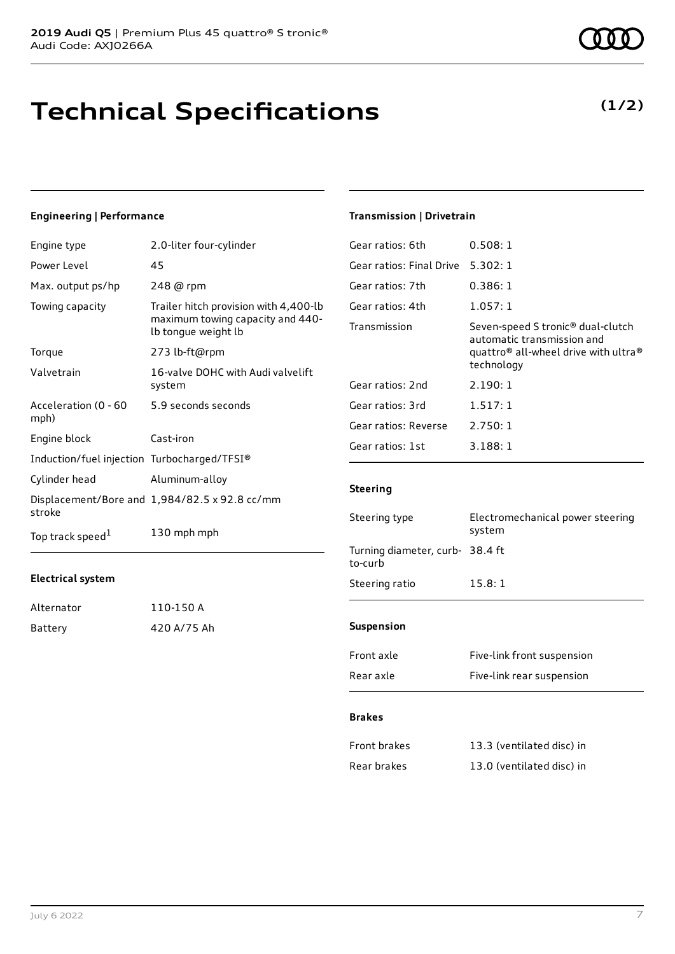### **Technical Specifications**

### **Engineering | Performance**

| Engine type                                 | 2.0-liter four-cylinder                                                                          |
|---------------------------------------------|--------------------------------------------------------------------------------------------------|
| Power Level                                 | 45                                                                                               |
| Max. output ps/hp                           | 248 @ rpm                                                                                        |
| Towing capacity                             | Trailer hitch provision with 4,400-lb<br>maximum towing capacity and 440-<br>lb tongue weight lb |
| Torque                                      | 273 lb-ft@rpm                                                                                    |
| Valvetrain                                  | 16-valve DOHC with Audi valvelift<br>system                                                      |
| Acceleration (0 - 60<br>mph)                | 5.9 seconds seconds                                                                              |
| Engine block                                | Cast-iron                                                                                        |
| Induction/fuel injection Turbocharged/TFSI® |                                                                                                  |
| Cylinder head                               | Aluminum-alloy                                                                                   |
| stroke                                      | Displacement/Bore and 1,984/82.5 x 92.8 cc/mm                                                    |
| Top track speed <sup>1</sup>                | 130 mph mph                                                                                      |

#### **Electrical system**

| Alternator | 110-150 A   |
|------------|-------------|
| Battery    | 420 A/75 Ah |

### **Transmission | Drivetrain**

| 0.508:1                                                                                                                                                   |
|-----------------------------------------------------------------------------------------------------------------------------------------------------------|
| 5.302:1                                                                                                                                                   |
| 0.386:1                                                                                                                                                   |
| 1.057:1                                                                                                                                                   |
| Seven-speed S tronic <sup>®</sup> dual-clutch<br>automatic transmission and<br>quattro <sup>®</sup> all-wheel drive with ultra <sup>®</sup><br>technology |
| 2.190:1                                                                                                                                                   |
| 1.517:1                                                                                                                                                   |
| 2.750:1                                                                                                                                                   |
| 3.188:1                                                                                                                                                   |
|                                                                                                                                                           |

#### **Steering**

| Steering type                              | Electromechanical power steering<br>system |  |
|--------------------------------------------|--------------------------------------------|--|
| Turning diameter, curb- 38.4 ft<br>to-curb |                                            |  |
| Steering ratio                             | 15.8:1                                     |  |
| <b>Suspension</b>                          |                                            |  |
| Front axle                                 | Five-link front suspension                 |  |

### Rear axle Five-link rear suspension

### **Brakes**

| Front brakes | 13.3 (ventilated disc) in |
|--------------|---------------------------|
| Rear brakes  | 13.0 (ventilated disc) in |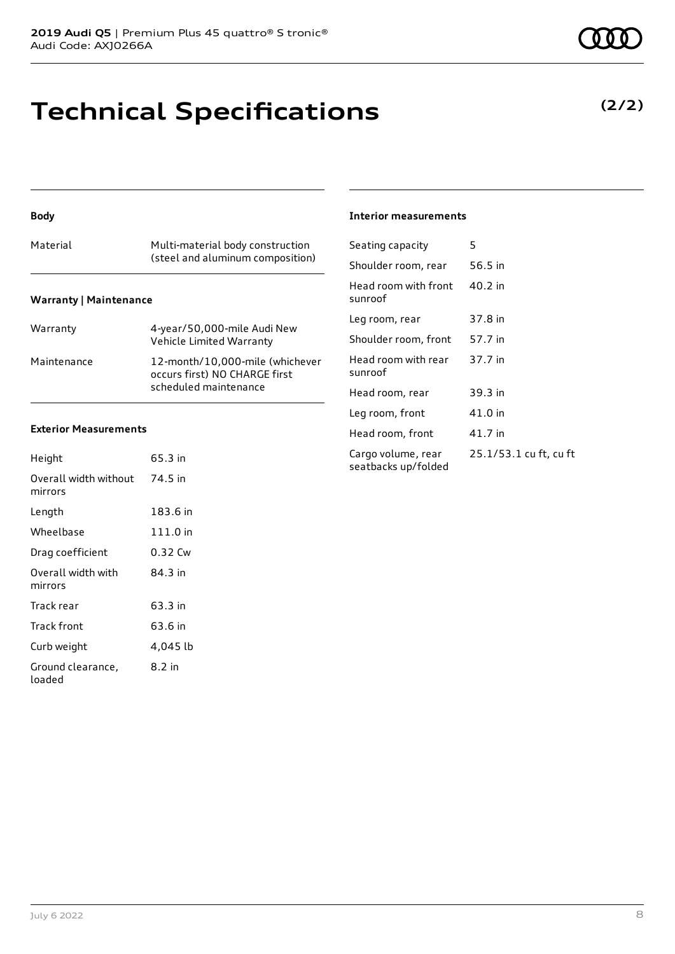### **Technical Specifications**

| Material                      | Multi-material body construction<br>(steel and aluminum composition)                      |  |
|-------------------------------|-------------------------------------------------------------------------------------------|--|
| <b>Warranty   Maintenance</b> |                                                                                           |  |
| Warranty                      | 4-year/50,000-mile Audi New<br>Vehicle Limited Warranty                                   |  |
| Maintenance                   | 12-month/10,000-mile (whichever<br>occurs first) NO CHARGE first<br>scheduled maintenance |  |

### **Exterior Measurements**

**Body**

| Height                           | 65.3 in  |
|----------------------------------|----------|
| Overall width without<br>mirrors | 74.5 in  |
| Length                           | 183.6 in |
| Wheelbase                        | 111.0 in |
| Drag coefficient                 | 0.32 Cw  |
| Overall width with<br>mirrors    | 84.3 in  |
| Track rear                       | 63.3 in  |
| Track front                      | 63.6 in  |
| Curb weight                      | 4,045 lb |
| Ground clearance,<br>loaded      | 8.2 in   |

#### **Interior measurements**

| Seating capacity                          | 5                      |
|-------------------------------------------|------------------------|
| Shoulder room, rear                       | 56.5 in                |
| Head room with front<br>sunroof           | 40.2 in                |
| Leg room, rear                            | 37.8 in                |
| Shoulder room, front                      | 57.7 in                |
| Head room with rear<br>sunroof            | 37.7 in                |
| Head room, rear                           | 39.3 in                |
| Leg room, front                           | 41.0 in                |
| Head room, front                          | 41.7 in                |
| Cargo volume, rear<br>seatbacks up/folded | 25.1/53.1 cu ft, cu ft |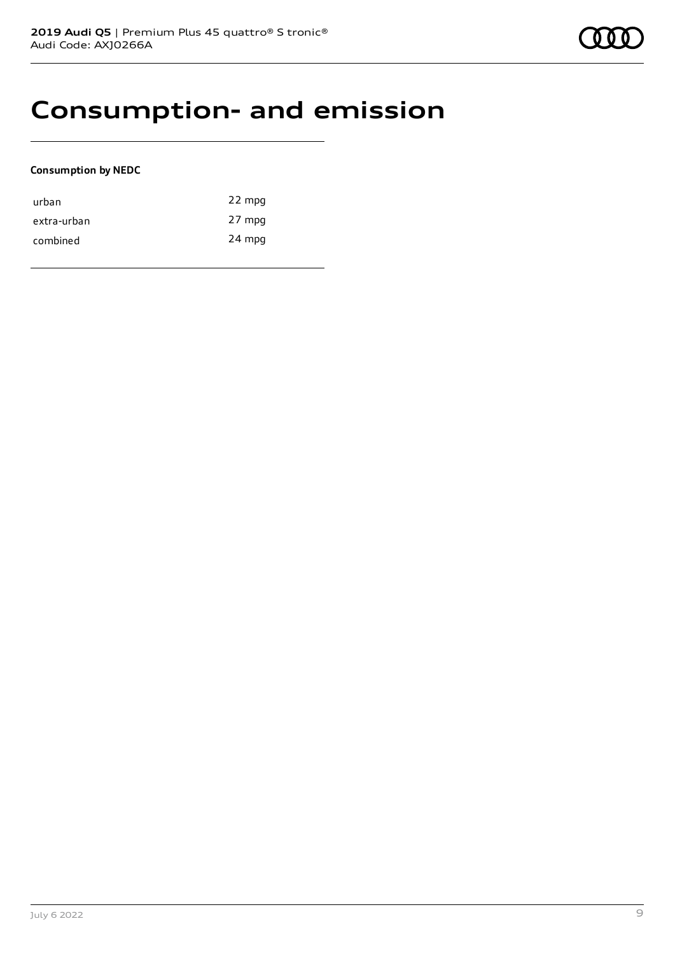### **Consumption- and emission**

### **Consumption by NEDC**

| urban       | 22 mpg |
|-------------|--------|
| extra-urban | 27 mpg |
| combined    | 24 mpg |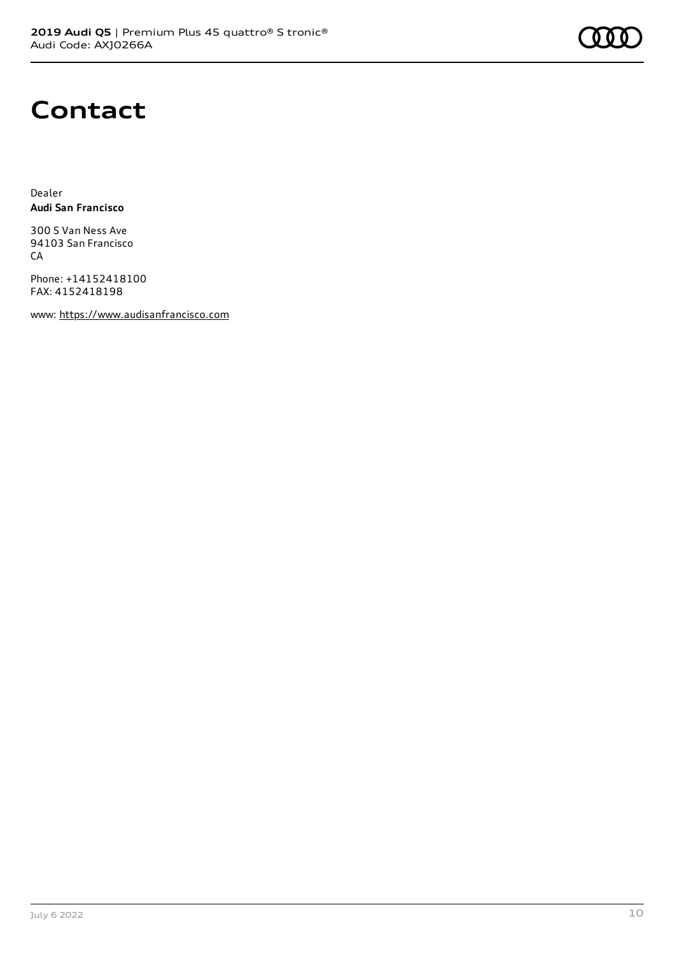### **Contact**

Dealer **Audi San Francisco**

300 S Van Ness Ave 94103 San Francisco CA

Phone: +14152418100 FAX: 4152418198

www: [https://www.audisanfrancisco.com](https://www.audisanfrancisco.com/)